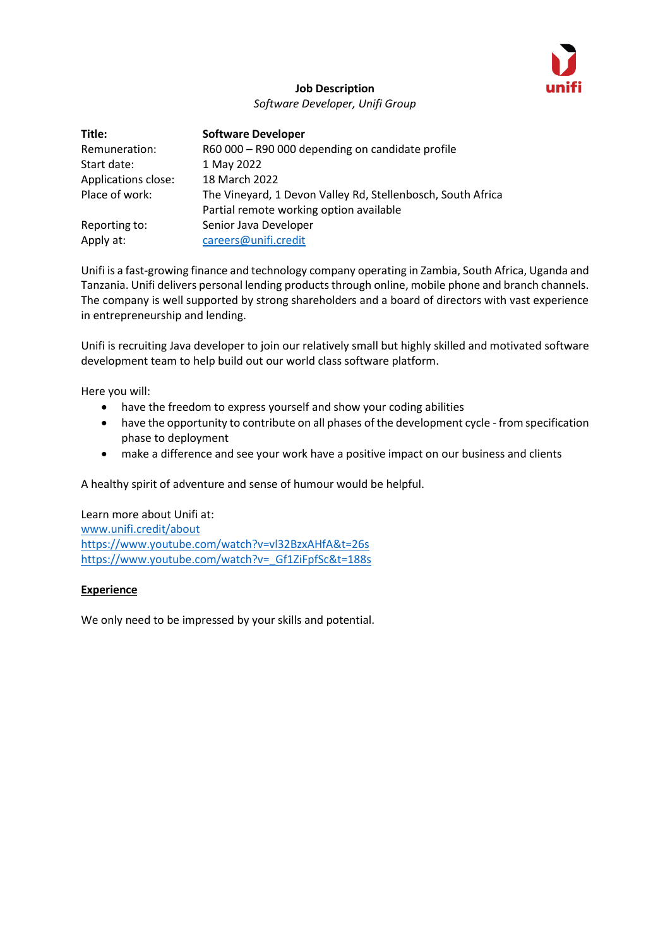

# **Job Description** *Software Developer, Unifi Group*

| Title:              | <b>Software Developer</b>                                   |
|---------------------|-------------------------------------------------------------|
| Remuneration:       | R60 000 - R90 000 depending on candidate profile            |
| Start date:         | 1 May 2022                                                  |
| Applications close: | 18 March 2022                                               |
| Place of work:      | The Vineyard, 1 Devon Valley Rd, Stellenbosch, South Africa |
|                     | Partial remote working option available                     |
| Reporting to:       | Senior Java Developer                                       |
| Apply at:           | careers@unifi.credit                                        |

Unifi is a fast-growing finance and technology company operating in Zambia, South Africa, Uganda and Tanzania. Unifi delivers personal lending products through online, mobile phone and branch channels. The company is well supported by strong shareholders and a board of directors with vast experience in entrepreneurship and lending.

Unifi is recruiting Java developer to join our relatively small but highly skilled and motivated software development team to help build out our world class software platform.

Here you will:

- have the freedom to express yourself and show your coding abilities
- have the opportunity to contribute on all phases of the development cycle from specification phase to deployment
- make a difference and see your work have a positive impact on our business and clients

A healthy spirit of adventure and sense of humour would be helpful.

Learn more about Unifi at: [www.unifi.credit/about](http://www.unifi.credit/about) <https://www.youtube.com/watch?v=vl32BzxAHfA&t=26s> https://www.youtube.com/watch?v= Gf1ZiFpfSc&t=188s

# **Experience**

We only need to be impressed by your skills and potential.